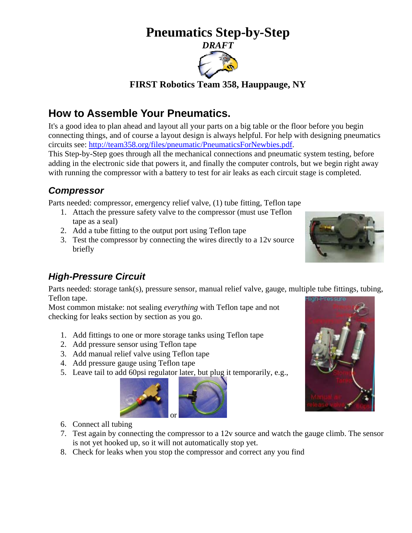# **Pneumatics Step-by-Step**



**FIRST Robotics Team 358, Hauppauge, NY** 

# **How to Assemble Your Pneumatics.**

It's a good idea to plan ahead and layout all your parts on a big table or the floor before you begin connecting things, and of course a layout design is always helpful. For help with designing pneumatics circuits see: [http://team358.org/files/pneumatic/PneumaticsForNewbies.pdf.](http://team358.org/files/pneumatic/PneumaticsForNewbies.pdf)

This Step-by-Step goes through all the mechanical connections and pneumatic system testing, before adding in the electronic side that powers it, and finally the computer controls, but we begin right away with running the compressor with a battery to test for air leaks as each circuit stage is completed.

## *Compressor*

Parts needed: compressor, emergency relief valve, (1) tube fitting, Teflon tape

- 1. Attach the pressure safety valve to the compressor (must use Teflon tape as a seal)
- 2. Add a tube fitting to the output port using Teflon tape
- 3. Test the compressor by connecting the wires directly to a 12v source briefly

## *High-Pressure Circuit*

Parts needed: storage tank(s), pressure sensor, manual relief valve, gauge, multiple tube fittings, tubing, Teflon tape.

Most common mistake: not sealing *everything* with Teflon tape and not checking for leaks section by section as you go.

- 1. Add fittings to one or more storage tanks using Teflon tape
- 2. Add pressure sensor using Teflon tape
- 3. Add manual relief valve using Teflon tape
- 4. Add pressure gauge using Teflon tape
- 5. Leave tail to add 60psi regulator later, but plug it temporarily, e.g.,





- 6. Connect all tubing
- 7. Test again by connecting the compressor to a 12v source and watch the gauge climb. The sensor is not yet hooked up, so it will not automatically stop yet.
- 8. Check for leaks when you stop the compressor and correct any you find

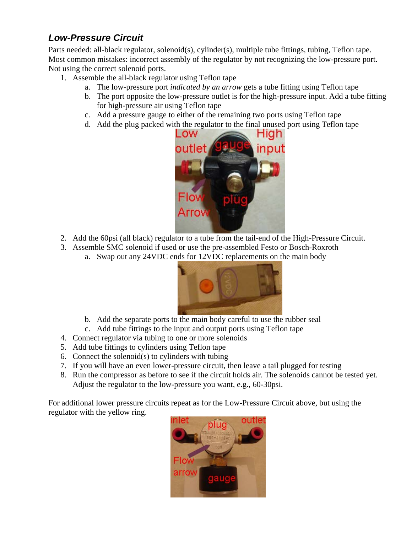## *Low-Pressure Circuit*

Parts needed: all-black regulator, solenoid(s), cylinder(s), multiple tube fittings, tubing, Teflon tape. Most common mistakes: incorrect assembly of the regulator by not recognizing the low-pressure port. Not using the correct solenoid ports.

- 1. Assemble the all-black regulator using Teflon tape
	- a. The low-pressure port *indicated by an arrow* gets a tube fitting using Teflon tape
	- b. The port opposite the low-pressure outlet is for the high-pressure input. Add a tube fitting for high-pressure air using Teflon tape
	- c. Add a pressure gauge to either of the remaining two ports using Teflon tape
	- d. Add the plug packed with the regulator to the final unused port using Teflon tape



- 2. Add the 60psi (all black) regulator to a tube from the tail-end of the High-Pressure Circuit.
- 3. Assemble SMC solenoid if used or use the pre-assembled Festo or Bosch-Roxroth
	- a. Swap out any 24VDC ends for 12VDC replacements on the main body



- b. Add the separate ports to the main body careful to use the rubber seal
- c. Add tube fittings to the input and output ports using Teflon tape
- 4. Connect regulator via tubing to one or more solenoids
- 5. Add tube fittings to cylinders using Teflon tape
- 6. Connect the solenoid(s) to cylinders with tubing
- 7. If you will have an even lower-pressure circuit, then leave a tail plugged for testing
- 8. Run the compressor as before to see if the circuit holds air. The solenoids cannot be tested yet. Adjust the regulator to the low-pressure you want, e.g., 60-30psi.

For additional lower pressure circuits repeat as for the Low-Pressure Circuit above, but using the regulator with the yellow ring.

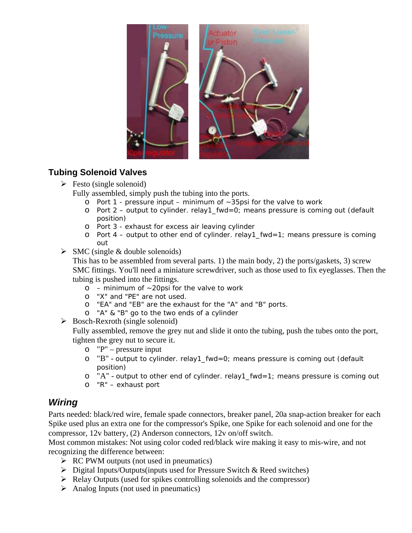

#### **Tubing Solenoid Valves**

 $\triangleright$  Festo (single solenoid)

Fully assembled, simply push the tubing into the ports.

- o Port 1 pressure input minimum of  $\sim$ 35psi for the valve to work
- o Port 2 output to cylinder. relay1\_fwd=0; means pressure is coming out (default position)
- o Port 3 exhaust for excess air leaving cylinder
- o Port  $4$  output to other end of cylinder. relay1\_fwd=1; means pressure is coming out
- $\triangleright$  SMC (single & double solenoids)

This has to be assembled from several parts. 1) the main body, 2) the ports/gaskets, 3) screw SMC fittings. You'll need a miniature screwdriver, such as those used to fix eyeglasses. Then the tubing is pushed into the fittings.

- $o$  minimum of  $\sim$  20psi for the valve to work
- o "X" and "PE" are not used.
- o "EA" and "EB" are the exhaust for the "A" and "B" ports.
- o "A" & "B" go to the two ends of a cylinder
- $\triangleright$  Bosch-Rexroth (single solenoid)

Fully assembled, remove the grey nut and slide it onto the tubing, push the tubes onto the port, tighten the grey nut to secure it.

- o "P" pressure input
- o "B" output to cylinder. relay1\_fwd=0; means pressure is coming out (default position)
- $\circ$  "A" output to other end of cylinder. relay1\_fwd=1; means pressure is coming out
- o "R" exhaust port

### *Wiring*

Parts needed: black/red wire, female spade connectors, breaker panel, 20a snap-action breaker for each Spike used plus an extra one for the compressor's Spike, one Spike for each solenoid and one for the compressor, 12v battery, (2) Anderson connectors, 12v on/off switch.

Most common mistakes: Not using color coded red/black wire making it easy to mis-wire, and not recognizing the difference between:

- $\triangleright$  RC PWM outputs (not used in pneumatics)
- $\triangleright$  Digital Inputs/Outputs(inputs used for Pressure Switch & Reed switches)
- $\triangleright$  Relay Outputs (used for spikes controlling solenoids and the compressor)
- $\triangleright$  Analog Inputs (not used in pneumatics)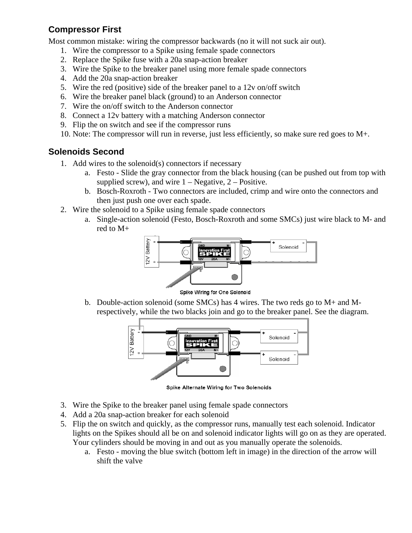#### **Compressor First**

Most common mistake: wiring the compressor backwards (no it will not suck air out).

- 1. Wire the compressor to a Spike using female spade connectors
- 2. Replace the Spike fuse with a 20a snap-action breaker
- 3. Wire the Spike to the breaker panel using more female spade connectors
- 4. Add the 20a snap-action breaker
- 5. Wire the red (positive) side of the breaker panel to a 12v on/off switch
- 6. Wire the breaker panel black (ground) to an Anderson connector
- 7. Wire the on/off switch to the Anderson connector
- 8. Connect a 12v battery with a matching Anderson connector
- 9. Flip the on switch and see if the compressor runs
- 10. Note: The compressor will run in reverse, just less efficiently, so make sure red goes to M+.

#### **Solenoids Second**

- 1. Add wires to the solenoid(s) connectors if necessary
	- a. Festo Slide the gray connector from the black housing (can be pushed out from top with supplied screw), and wire  $1 - \text{Negative}, 2 - \text{Positive}.$
	- b. Bosch-Roxroth Two connectors are included, crimp and wire onto the connectors and then just push one over each spade.
- 2. Wire the solenoid to a Spike using female spade connectors
	- a. Single-action solenoid (Festo, Bosch-Roxroth and some SMCs) just wire black to M- and red to M+



Spike Wiring for One Solenoid

b. Double-action solenoid (some SMCs) has 4 wires. The two reds go to M+ and Mrespectively, while the two blacks join and go to the breaker panel. See the diagram.



Spike Alternate Wiring for Two Solenoids

- 3. Wire the Spike to the breaker panel using female spade connectors
- 4. Add a 20a snap-action breaker for each solenoid
- 5. Flip the on switch and quickly, as the compressor runs, manually test each solenoid. Indicator lights on the Spikes should all be on and solenoid indicator lights will go on as they are operated. Your cylinders should be moving in and out as you manually operate the solenoids.
	- a. Festo moving the blue switch (bottom left in image) in the direction of the arrow will shift the valve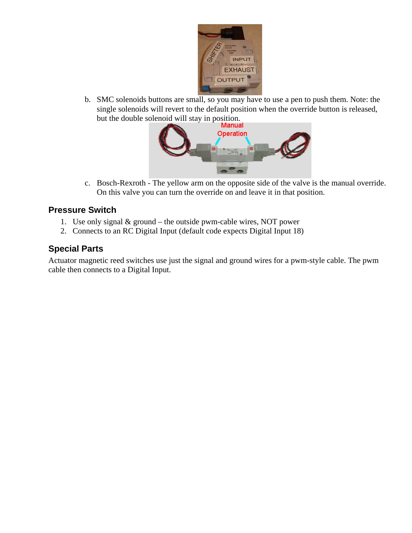

b. SMC solenoids buttons are small, so you may have to use a pen to push them. Note: the single solenoids will revert to the default position when the override button is released, but the double solenoid will stay in position.<br>Manual



c. Bosch-Rexroth - The yellow arm on the opposite side of the valve is the manual override. On this valve you can turn the override on and leave it in that position.

#### **Pressure Switch**

- 1. Use only signal & ground the outside pwm-cable wires, NOT power
- 2. Connects to an RC Digital Input (default code expects Digital Input 18)

#### **Special Parts**

Actuator magnetic reed switches use just the signal and ground wires for a pwm-style cable. The pwm cable then connects to a Digital Input.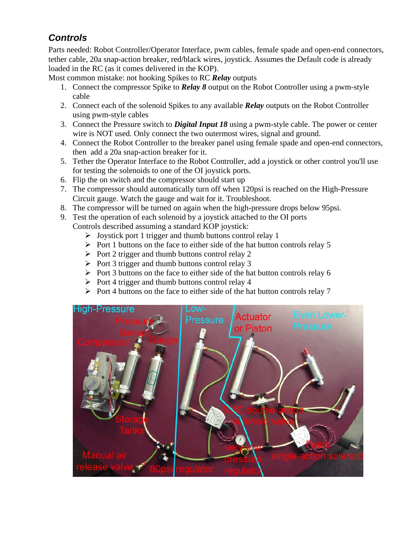## *Controls*

Parts needed: Robot Controller/Operator Interface, pwm cables, female spade and open-end connectors, tether cable, 20a snap-action breaker, red/black wires, joystick. Assumes the Default code is already loaded in the RC (as it comes delivered in the KOP).

Most common mistake: not hooking Spikes to RC *Relay* outputs

- 1. Connect the compressor Spike to *Relay 8* output on the Robot Controller using a pwm-style cable
- 2. Connect each of the solenoid Spikes to any available *Relay* outputs on the Robot Controller using pwm-style cables
- 3. Connect the Pressure switch to *Digital Input 18* using a pwm-style cable. The power or center wire is NOT used. Only connect the two outermost wires, signal and ground.
- 4. Connect the Robot Controller to the breaker panel using female spade and open-end connectors, then add a 20a snap-action breaker for it.
- 5. Tether the Operator Interface to the Robot Controller, add a joystick or other control you'll use for testing the solenoids to one of the OI joystick ports.
- 6. Flip the on switch and the compressor should start up
- 7. The compressor should automatically turn off when 120psi is reached on the High-Pressure Circuit gauge. Watch the gauge and wait for it. Troubleshoot.
- 8. The compressor will be turned on again when the high-pressure drops below 95psi.
- 9. Test the operation of each solenoid by a joystick attached to the OI ports

Controls described assuming a standard KOP joystick:

- $\triangleright$  Joystick port 1 trigger and thumb buttons control relay 1
- $\triangleright$  Port 1 buttons on the face to either side of the hat button controls relay 5
- $\triangleright$  Port 2 trigger and thumb buttons control relay 2
- $\triangleright$  Port 3 trigger and thumb buttons control relay 3
- $\triangleright$  Port 3 buttons on the face to either side of the hat button controls relay 6
- $\triangleright$  Port 4 trigger and thumb buttons control relay 4
- $\triangleright$  Port 4 buttons on the face to either side of the hat button controls relay 7

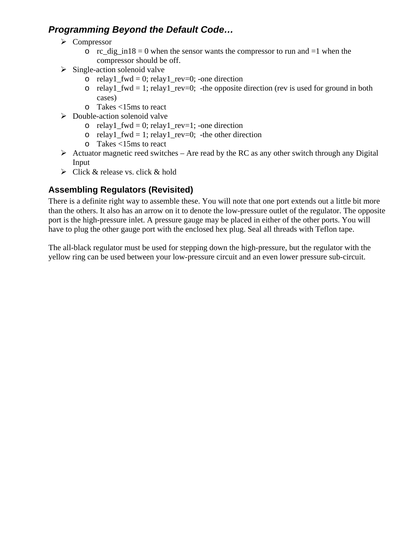### *Programming Beyond the Default Code…*

- ¾ Compressor
	- $\circ$  rc\_dig\_in18 = 0 when the sensor wants the compressor to run and =1 when the compressor should be off.
- $\triangleright$  Single-action solenoid valve
	- o relay1 fwd = 0; relay1 rev=0; -one direction
	- o relay1\_fwd = 1; relay1\_rev=0; -the opposite direction (rev is used for ground in both cases)
	- o Takes <15ms to react
- $\triangleright$  Double-action solenoid valve
	- o relay1  $fwd = 0$ ; relay1  $rev=1$ ; -one direction
	- o relay1 fwd = 1; relay1 rev=0; -the other direction
	- o Takes <15ms to react
- $\triangleright$  Actuator magnetic reed switches Are read by the RC as any other switch through any Digital Input
- $\triangleright$  Click & release vs. click & hold

### **Assembling Regulators (Revisited)**

There is a definite right way to assemble these. You will note that one port extends out a little bit more than the others. It also has an arrow on it to denote the low-pressure outlet of the regulator. The opposite port is the high-pressure inlet. A pressure gauge may be placed in either of the other ports. You will have to plug the other gauge port with the enclosed hex plug. Seal all threads with Teflon tape.

The all-black regulator must be used for stepping down the high-pressure, but the regulator with the yellow ring can be used between your low-pressure circuit and an even lower pressure sub-circuit.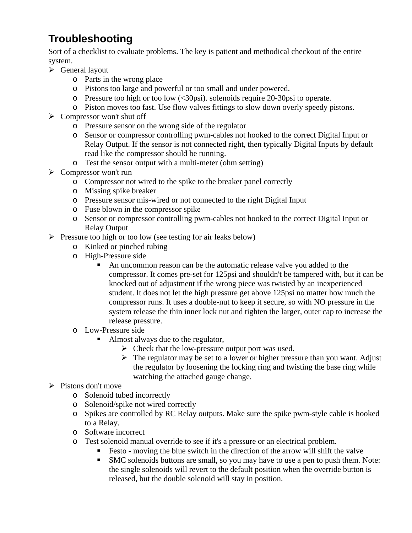# **Troubleshooting**

Sort of a checklist to evaluate problems. The key is patient and methodical checkout of the entire system.

- $\triangleright$  General layout
	- o Parts in the wrong place
	- o Pistons too large and powerful or too small and under powered.
	- o Pressure too high or too low (<30psi). solenoids require 20-30psi to operate.
	- o Piston moves too fast. Use flow valves fittings to slow down overly speedy pistons.
- $\triangleright$  Compressor won't shut off
	- o Pressure sensor on the wrong side of the regulator
	- o Sensor or compressor controlling pwm-cables not hooked to the correct Digital Input or Relay Output. If the sensor is not connected right, then typically Digital Inputs by default read like the compressor should be running.
	- o Test the sensor output with a multi-meter (ohm setting)
- $\triangleright$  Compressor won't run
	- o Compressor not wired to the spike to the breaker panel correctly
	- o Missing spike breaker
	- o Pressure sensor mis-wired or not connected to the right Digital Input
	- o Fuse blown in the compressor spike
	- o Sensor or compressor controlling pwm-cables not hooked to the correct Digital Input or Relay Output
- $\triangleright$  Pressure too high or too low (see testing for air leaks below)
	- o Kinked or pinched tubing
	- o High-Pressure side
		- An uncommon reason can be the automatic release valve you added to the compressor. It comes pre-set for 125psi and shouldn't be tampered with, but it can be knocked out of adjustment if the wrong piece was twisted by an inexperienced student. It does not let the high pressure get above 125psi no matter how much the compressor runs. It uses a double-nut to keep it secure, so with NO pressure in the system release the thin inner lock nut and tighten the larger, outer cap to increase the release pressure.
	- o Low-Pressure side
		- Almost always due to the regulator,
			- $\triangleright$  Check that the low-pressure output port was used.
			- $\triangleright$  The regulator may be set to a lower or higher pressure than you want. Adjust the regulator by loosening the locking ring and twisting the base ring while watching the attached gauge change.

#### $\triangleright$  Pistons don't move

- o Solenoid tubed incorrectly
- o Solenoid/spike not wired correctly
- o Spikes are controlled by RC Relay outputs. Make sure the spike pwm-style cable is hooked to a Relay.
- o Software incorrect
- o Test solenoid manual override to see if it's a pressure or an electrical problem.
	- Festo moving the blue switch in the direction of the arrow will shift the valve
	- SMC solenoids buttons are small, so you may have to use a pen to push them. Note: the single solenoids will revert to the default position when the override button is released, but the double solenoid will stay in position.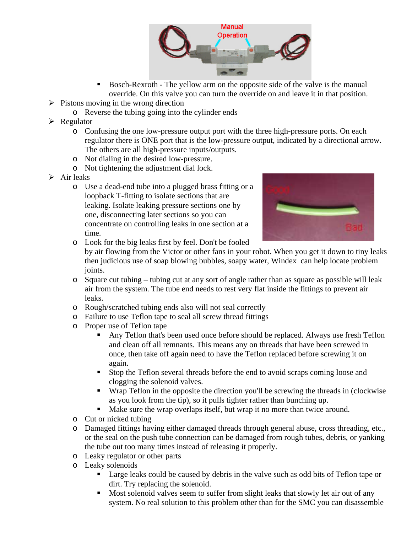

- Bosch-Rexroth The yellow arm on the opposite side of the valve is the manual override. On this valve you can turn the override on and leave it in that position.
- $\triangleright$  Pistons moving in the wrong direction
	- o Reverse the tubing going into the cylinder ends
- $\triangleright$  Regulator
	- o Confusing the one low-pressure output port with the three high-pressure ports. On each regulator there is ONE port that is the low-pressure output, indicated by a directional arrow. The others are all high-pressure inputs/outputs.
	- o Not dialing in the desired low-pressure.
	- o Not tightening the adjustment dial lock.
- $\triangleright$  Air leaks
	- o Use a dead-end tube into a plugged brass fitting or a loopback T-fitting to isolate sections that are leaking. Isolate leaking pressure sections one by one, disconnecting later sections so you can concentrate on controlling leaks in one section at a time.



o Look for the big leaks first by feel. Don't be fooled

by air flowing from the Victor or other fans in your robot. When you get it down to tiny leaks then judicious use of soap blowing bubbles, soapy water, Windex can help locate problem joints.

- o Square cut tubing tubing cut at any sort of angle rather than as square as possible will leak air from the system. The tube end needs to rest very flat inside the fittings to prevent air leaks.
- o Rough/scratched tubing ends also will not seal correctly
- o Failure to use Teflon tape to seal all screw thread fittings
- o Proper use of Teflon tape
	- Any Teflon that's been used once before should be replaced. Always use fresh Teflon and clean off all remnants. This means any on threads that have been screwed in once, then take off again need to have the Teflon replaced before screwing it on again.
	- Stop the Teflon several threads before the end to avoid scraps coming loose and clogging the solenoid valves.
	- Wrap Teflon in the opposite the direction you'll be screwing the threads in (clockwise as you look from the tip), so it pulls tighter rather than bunching up.
	- Make sure the wrap overlaps itself, but wrap it no more than twice around.
- o Cut or nicked tubing
- o Damaged fittings having either damaged threads through general abuse, cross threading, etc., or the seal on the push tube connection can be damaged from rough tubes, debris, or yanking the tube out too many times instead of releasing it properly.
- o Leaky regulator or other parts
- o Leaky solenoids
	- Large leaks could be caused by debris in the valve such as odd bits of Teflon tape or dirt. Try replacing the solenoid.
	- **Most solenoid valves seem to suffer from slight leaks that slowly let air out of any** system. No real solution to this problem other than for the SMC you can disassemble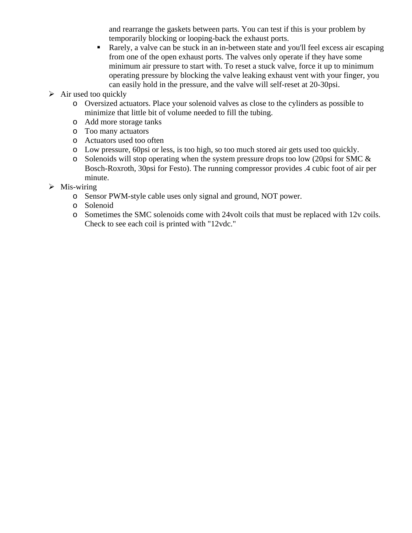and rearrange the gaskets between parts. You can test if this is your problem by temporarily blocking or looping-back the exhaust ports.

- Rarely, a valve can be stuck in an in-between state and you'll feel excess air escaping from one of the open exhaust ports. The valves only operate if they have some minimum air pressure to start with. To reset a stuck valve, force it up to minimum operating pressure by blocking the valve leaking exhaust vent with your finger, you can easily hold in the pressure, and the valve will self-reset at 20-30psi.
- $\triangleright$  Air used too quickly
	- o Oversized actuators. Place your solenoid valves as close to the cylinders as possible to minimize that little bit of volume needed to fill the tubing.
	- o Add more storage tanks
	- o Too many actuators
	- o Actuators used too often
	- o Low pressure, 60psi or less, is too high, so too much stored air gets used too quickly.
	- $\circ$  Solenoids will stop operating when the system pressure drops too low (20psi for SMC & Bosch-Roxroth, 30psi for Festo). The running compressor provides .4 cubic foot of air per minute.
- $\triangleright$  Mis-wiring
	- o Sensor PWM-style cable uses only signal and ground, NOT power.
	- o Solenoid
	- o Sometimes the SMC solenoids come with 24volt coils that must be replaced with 12v coils. Check to see each coil is printed with "12vdc."